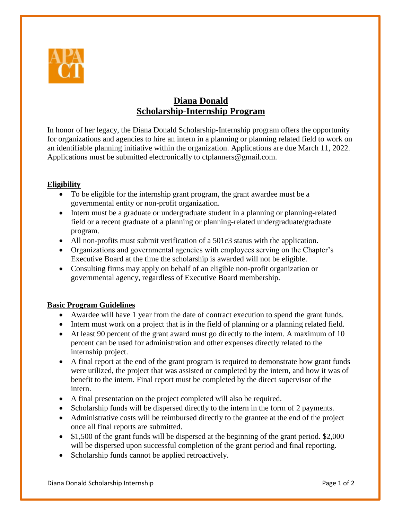

## **Diana Donald Scholarship-Internship Program**

In honor of her legacy, the Diana Donald Scholarship-Internship program offers the opportunity for organizations and agencies to hire an intern in a planning or planning related field to work on an identifiable planning initiative within the organization. Applications are due March 11, 2022. Applications must be submitted electronically to ctplanners@gmail.com.

## **Eligibility**

- To be eligible for the internship grant program, the grant awardee must be a governmental entity or non-profit organization.
- Intern must be a graduate or undergraduate student in a planning or planning-related field or a recent graduate of a planning or planning-related undergraduate/graduate program.
- All non-profits must submit verification of a 501c3 status with the application.
- Organizations and governmental agencies with employees serving on the Chapter's Executive Board at the time the scholarship is awarded will not be eligible.
- Consulting firms may apply on behalf of an eligible non-profit organization or governmental agency, regardless of Executive Board membership.

## **Basic Program Guidelines**

- Awardee will have 1 year from the date of contract execution to spend the grant funds.
- Intern must work on a project that is in the field of planning or a planning related field.
- At least 90 percent of the grant award must go directly to the intern. A maximum of 10 percent can be used for administration and other expenses directly related to the internship project.
- A final report at the end of the grant program is required to demonstrate how grant funds were utilized, the project that was assisted or completed by the intern, and how it was of benefit to the intern. Final report must be completed by the direct supervisor of the intern.
- A final presentation on the project completed will also be required.
- Scholarship funds will be dispersed directly to the intern in the form of 2 payments.
- Administrative costs will be reimbursed directly to the grantee at the end of the project once all final reports are submitted.
- \$1,500 of the grant funds will be dispersed at the beginning of the grant period. \$2,000 will be dispersed upon successful completion of the grant period and final reporting.
- Scholarship funds cannot be applied retroactively.